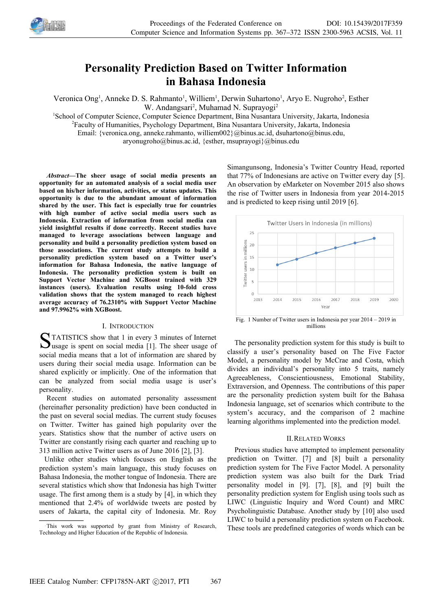

# **Personality Prediction Based on Twitter Information in Bahasa Indonesia**

Veronica Ong<sup>1</sup>, Anneke D. S. Rahmanto<sup>1</sup>, Williem<sup>1</sup>, Derwin Suhartono<sup>1</sup>, Aryo E. Nugroho<sup>2</sup>, Esther

W. Andangsari<sup>2</sup>, Muhamad N. Suprayogi<sup>2</sup>

<sup>1</sup>School of Computer Science, Computer Science Department, Bina Nusantara University, Jakarta, Indonesia

<sup>2</sup>Faculty of Humanities, Psychology Department, Bina Nusantara University, Jakarta, Indonesia

Email: {veronica.ong, anneke.rahmanto, williem002}@binus.ac.id, dsuhartono@binus.edu,

aryonugroho@binus.ac.id, {esther, msuprayogi}@binus.edu

*Abstract—***The sheer usage of social media presents an opportunity for an automated analysis of a social media user based on his/her information, activities, or status updates. This opportunity is due to the abundant amount of information shared by the user. This fact is especially true for countries with high number of active social media users such as Indonesia. Extraction of information from social media can yield insightful results if done correctly. Recent studies have managed to leverage associations between language and personality and build a personality prediction system based on those associations. The current study attempts to build a personality prediction system based on a Twitter user's information for Bahasa Indonesia, the native language of Indonesia. The personality prediction system is built on Support Vector Machine and XGBoost trained with 329 instances (users). Evaluation results using 10-fold cross validation shows that the system managed to reach highest average accuracy of 76.2310% with Support Vector Machine and 97.9962% with XGBoost.**

# I. INTRODUCTION

TATISTICS show that 1 in every 3 minutes of Internet STATISTICS show that 1 in every 3 minutes of Internet<br>
usage is spent on social media [1]. The sheer usage of social media means that a lot of information are shared by users during their social media usage. Information can be shared explicitly or implicitly. One of the information that can be analyzed from social media usage is user's personality.

Recent studies on automated personality assessment (hereinafter personality prediction) have been conducted in the past on several social medias. The current study focuses on Twitter. Twitter has gained high popularity over the years. Statistics show that the number of active users on Twitter are constantly rising each quarter and reaching up to 313 million active Twitter users as of June 2016 [2], [3].

Unlike other studies which focuses on English as the prediction system's main language, this study focuses on Bahasa Indonesia, the mother tongue of Indonesia. There are several statistics which show that Indonesia has high Twitter usage. The first among them is a study by [4], in which they mentioned that 2.4% of worldwide tweets are posted by users of Jakarta, the capital city of Indonesia. Mr. Roy

Simangunsong, Indonesia's Twitter Country Head, reported that 77% of Indonesians are active on Twitter every day [5]. An observation by eMarketer on November 2015 also shows the rise of Twitter users in Indonesia from year 2014-2015 and is predicted to keep rising until 2019 [6].



Fig. 1 Number of Twitter users in Indonesia per year 2014 – 2019 in millions

The personality prediction system for this study is built to classify a user's personality based on The Five Factor Model, a personality model by McCrae and Costa, which divides an individual's personality into 5 traits, namely Agreeableness, Conscientiousness, Emotional Stability, Extraversion, and Openness. The contributions of this paper are the personality prediction system built for the Bahasa Indonesia language, set of scenarios which contribute to the system's accuracy, and the comparison of 2 machine learning algorithms implemented into the prediction model.

# II.RELATED WORKS

Previous studies have attempted to implement personality prediction on Twitter. [7] and [8] built a personality prediction system for The Five Factor Model. A personality prediction system was also built for the Dark Triad personality model in [9]. [7], [8], and [9] built the personality prediction system for English using tools such as LIWC (Linguistic Inquiry and Word Count) and MRC Psycholinguistic Database. Another study by [10] also used LIWC to build a personality prediction system on Facebook. These tools are predefined categories of words which can be

This work was supported by grant from Ministry of Research, Technology and Higher Education of the Republic of Indonesia.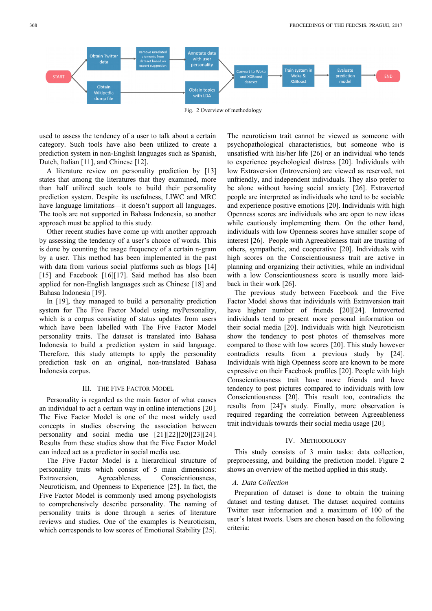

used to assess the tendency of a user to talk about a certain category. Such tools have also been utilized to create a prediction system in non-English languages such as Spanish, Dutch, Italian [11], and Chinese [12].

A literature review on personality prediction by [13] states that among the literatures that they examined, more than half utilized such tools to build their personality prediction system. Despite its usefulness, LIWC and MRC have language limitations—it doesn't support all languages. The tools are not supported in Bahasa Indonesia, so another approach must be applied to this study.

Other recent studies have come up with another approach by assessing the tendency of a user's choice of words. This is done by counting the usage frequency of a certain n-gram by a user. This method has been implemented in the past with data from various social platforms such as blogs [14] [15] and Facebook [16][17]. Said method has also been applied for non-English languages such as Chinese [18] and Bahasa Indonesia [19].

In [19], they managed to build a personality prediction system for The Five Factor Model using myPersonality, which is a corpus consisting of status updates from users which have been labelled with The Five Factor Model personality traits. The dataset is translated into Bahasa Indonesia to build a prediction system in said language. Therefore, this study attempts to apply the personality prediction task on an original, non-translated Bahasa Indonesia corpus.

# III. THE FIVE FACTOR MODEL

Personality is regarded as the main factor of what causes an individual to act a certain way in online interactions [20]. The Five Factor Model is one of the most widely used concepts in studies observing the association between personality and social media use [21][22][20][23][24]. Results from these studies show that the Five Factor Model can indeed act as a predictor in social media use.

The Five Factor Model is a hierarchical structure of personality traits which consist of 5 main dimensions: Extraversion, Agreeableness, Conscientiousness, Neuroticism, and Openness to Experience [25]. In fact, the Five Factor Model is commonly used among psychologists to comprehensively describe personality. The naming of personality traits is done through a series of literature reviews and studies. One of the examples is Neuroticism, which corresponds to low scores of Emotional Stability [25].

The neuroticism trait cannot be viewed as someone with psychopathological characteristics, but someone who is unsatisfied with his/her life [26] or an individual who tends to experience psychological distress [20]. Individuals with low Extraversion (Introversion) are viewed as reserved, not unfriendly, and independent individuals. They also prefer to be alone without having social anxiety [26]. Extraverted people are interpreted as individuals who tend to be sociable and experience positive emotions [20]. Individuals with high Openness scores are individuals who are open to new ideas while cautiously implementing them. On the other hand, individuals with low Openness scores have smaller scope of interest [26]. People with Agreeableness trait are trusting of others, sympathetic, and cooperative [20]. Individuals with high scores on the Conscientiousness trait are active in planning and organizing their activities, while an individual with a low Conscientiousness score is usually more laidback in their work [26].

The previous study between Facebook and the Five Factor Model shows that individuals with Extraversion trait have higher number of friends [20][24]. Introverted individuals tend to present more personal information on their social media [20]. Individuals with high Neuroticism show the tendency to post photos of themselves more compared to those with low scores [20]. This study however contradicts results from a previous study by [24]. Individuals with high Openness score are known to be more expressive on their Facebook profiles [20]. People with high Conscientiousness trait have more friends and have tendency to post pictures compared to individuals with low Conscientiousness [20]. This result too, contradicts the results from [24]'s study. Finally, more observation is required regarding the correlation between Agreeableness trait individuals towards their social media usage [20].

# IV. METHODOLOGY

This study consists of 3 main tasks: data collection, preprocessing, and building the prediction model. Figure 2 shows an overview of the method applied in this study.

#### *A. Data Collection*

Preparation of dataset is done to obtain the training dataset and testing dataset. The dataset acquired contains Twitter user information and a maximum of 100 of the user's latest tweets. Users are chosen based on the following criteria: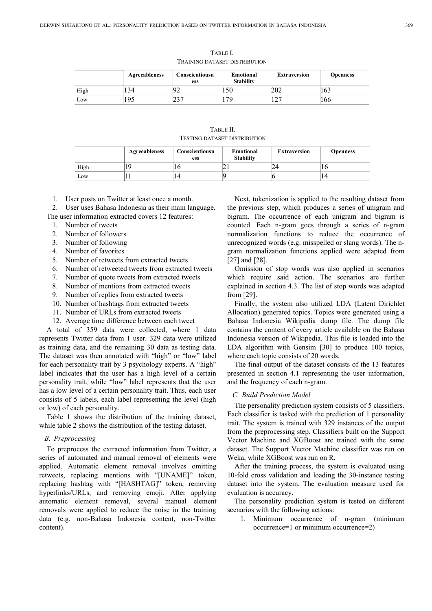|      | Agreeableness | Conscientiousn<br>ess | Emotional<br><b>Stability</b> | <b>Extraversion</b> | Openness |
|------|---------------|-----------------------|-------------------------------|---------------------|----------|
| High | 134           | 7 Z                   | 150                           | 202                 | 163      |
| Low  | 195           | າາ 7<br>، رے          | 17Q                           | ہ م<br>14.          | 166      |

TABLE I. TRAINING DATASET DISTRIBUTION

| TABLE II.                    |  |
|------------------------------|--|
| TESTING DATASET DISTRIBUTION |  |

|      | Agreeableness | Conscientiousn<br>ess | <b>Emotional</b><br><b>Stability</b> | <b>Extraversion</b> | <b>Openness</b> |
|------|---------------|-----------------------|--------------------------------------|---------------------|-----------------|
| High |               | ΙU                    |                                      |                     | 1 Ο             |
| Low  |               | 14                    |                                      |                     | , 4             |

1. User posts on Twitter at least once a month.

2. User uses Bahasa Indonesia as their main language. The user information extracted covers 12 features:

- 1. Number of tweets
- 2. Number of followers
- 3. Number of following
- 4. Number of favorites
- 5. Number of retweets from extracted tweets
- 6. Number of retweeted tweets from extracted tweets
- 7. Number of quote tweets from extracted tweets
- 8. Number of mentions from extracted tweets
- 9. Number of replies from extracted tweets
- 10. Number of hashtags from extracted tweets
- 11. Number of URLs from extracted tweets
- 12. Average time difference between each tweet

A total of 359 data were collected, where 1 data represents Twitter data from 1 user. 329 data were utilized as training data, and the remaining 30 data as testing data. The dataset was then annotated with "high" or "low" label for each personality trait by 3 psychology experts. A "high" label indicates that the user has a high level of a certain personality trait, while "low" label represents that the user has a low level of a certain personality trait. Thus, each user consists of 5 labels, each label representing the level (high or low) of each personality.

Table 1 shows the distribution of the training dataset, while table 2 shows the distribution of the testing dataset.

#### *B. Preprocessing*

To preprocess the extracted information from Twitter, a series of automated and manual removal of elements were applied. Automatic element removal involves omitting retweets, replacing mentions with "[UNAME]" token, replacing hashtag with "[HASHTAG]" token, removing hyperlinks/URLs, and removing emoji. After applying automatic element removal, several manual element removals were applied to reduce the noise in the training data (e.g. non-Bahasa Indonesia content, non-Twitter content).

Next, tokenization is applied to the resulting dataset from the previous step, which produces a series of unigram and bigram. The occurrence of each unigram and bigram is counted. Each n-gram goes through a series of n-gram normalization functions to reduce the occurrence of unrecognized words (e.g. misspelled or slang words). The ngram normalization functions applied were adapted from [27] and [28].

Omission of stop words was also applied in scenarios which require said action. The scenarios are further explained in section 4.3. The list of stop words was adapted from [29].

Finally, the system also utilized LDA (Latent Dirichlet Allocation) generated topics. Topics were generated using a Bahasa Indonesia Wikipedia dump file. The dump file contains the content of every article available on the Bahasa Indonesia version of Wikipedia. This file is loaded into the LDA algorithm with Gensim [30] to produce 100 topics, where each topic consists of 20 words.

The final output of the dataset consists of the 13 features presented in section 4.1 representing the user information, and the frequency of each n-gram.

# *C. Build Prediction Model*

The personality prediction system consists of 5 classifiers. Each classifier is tasked with the prediction of 1 personality trait. The system is trained with 329 instances of the output from the preprocessing step. Classifiers built on the Support Vector Machine and XGBoost are trained with the same dataset. The Support Vector Machine classifier was run on Weka, while XGBoost was run on R.

After the training process, the system is evaluated using 10-fold cross validation and loading the 30-instance testing dataset into the system. The evaluation measure used for evaluation is accuracy.

The personality prediction system is tested on different scenarios with the following actions:

1. Minimum occurrence of n-gram (minimum occurrence=1 or minimum occurrence=2)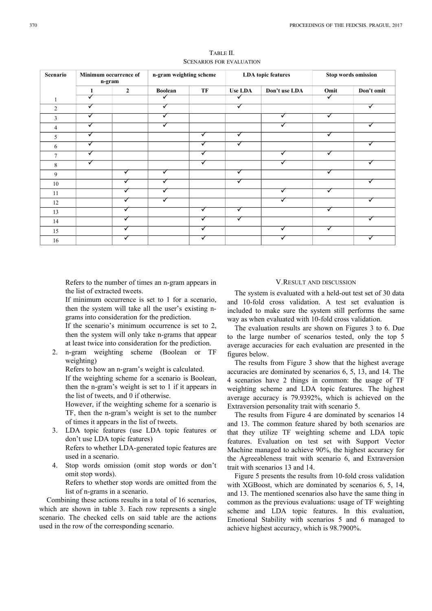| Scenario       | Minimum occurrence of<br>n-gram |                | n-gram weighting scheme |    | <b>LDA</b> topic features |               | <b>Stop words omission</b> |            |
|----------------|---------------------------------|----------------|-------------------------|----|---------------------------|---------------|----------------------------|------------|
|                | 1                               | $\overline{2}$ | <b>Boolean</b>          | TF | <b>Use LDA</b>            | Don't use LDA | Omit                       | Don't omit |
|                | ✓                               |                | ✓                       |    | ✓                         |               | $\overline{\checkmark}$    |            |
| $\overline{c}$ | ✓                               |                | ✓                       |    | ✓                         |               |                            | ✓          |
| 3              | ✓                               |                | ✓                       |    |                           | ✓             | ✓                          |            |
| 4              | ✓                               |                | ✔                       |    |                           |               |                            | ✓          |
| 5              | ✓                               |                |                         | ✓  | ✓                         |               | ✓                          |            |
| 6              | ✓                               |                |                         | ✓  |                           |               |                            | ✓          |
| π              | ✓                               |                |                         | ✓  |                           |               |                            |            |
| 8              | ✓                               |                |                         | ✓  |                           |               |                            | ✓          |
| 9              |                                 | ✓              | ✓                       |    | ✓                         |               |                            |            |
| 10             |                                 |                |                         |    | ✓                         |               |                            | ✓          |
| 11             |                                 |                |                         |    |                           |               |                            |            |
| 12             |                                 | ✓              |                         |    |                           |               |                            | √          |
| 13             |                                 |                |                         | ✓  | ✓                         |               |                            |            |
| 14             |                                 |                |                         | v  |                           |               |                            | ັ          |
| 15             |                                 |                |                         | √  |                           |               |                            |            |
| 16             |                                 |                |                         |    |                           |               |                            |            |

TABLE II. SCENARIOS FOR EVALUATION

Refers to the number of times an n-gram appears in the list of extracted tweets.

If minimum occurrence is set to 1 for a scenario, then the system will take all the user's existing ngrams into consideration for the prediction.

If the scenario's minimum occurrence is set to 2, then the system will only take n-grams that appear at least twice into consideration for the prediction.

2. n-gram weighting scheme (Boolean or TF weighting)

Refers to how an n-gram's weight is calculated.

If the weighting scheme for a scenario is Boolean, then the n-gram's weight is set to 1 if it appears in the list of tweets, and 0 if otherwise.

However, if the weighting scheme for a scenario is TF, then the n-gram's weight is set to the number of times it appears in the list of tweets.

- 3. LDA topic features (use LDA topic features or don't use LDA topic features) Refers to whether LDA-generated topic features are used in a scenario.
- 4. Stop words omission (omit stop words or don't omit stop words).

Refers to whether stop words are omitted from the list of n-grams in a scenario.

Combining these actions results in a total of 16 scenarios, which are shown in table 3. Each row represents a single scenario. The checked cells on said table are the actions used in the row of the corresponding scenario.

# V.RESULT AND DISCUSSION

The system is evaluated with a held-out test set of 30 data and 10-fold cross validation. A test set evaluation is included to make sure the system still performs the same way as when evaluated with 10-fold cross validation.

The evaluation results are shown on Figures 3 to 6. Due to the large number of scenarios tested, only the top 5 average accuracies for each evaluation are presented in the figures below.

The results from Figure 3 show that the highest average accuracies are dominated by scenarios 6, 5, 13, and 14. The 4 scenarios have 2 things in common: the usage of TF weighting scheme and LDA topic features. The highest average accuracy is 79.9392%, which is achieved on the Extraversion personality trait with scenario 5.

The results from Figure 4 are dominated by scenarios 14 and 13. The common feature shared by both scenarios are that they utilize TF weighting scheme and LDA topic features. Evaluation on test set with Support Vector Machine managed to achieve 90%, the highest accuracy for the Agreeableness trait with scenario 6, and Extraversion trait with scenarios 13 and 14.

Figure 5 presents the results from 10-fold cross validation with XGBoost, which are dominated by scenarios 6, 5, 14, and 13. The mentioned scenarios also have the same thing in common as the previous evaluations: usage of TF weighting scheme and LDA topic features. In this evaluation, Emotional Stability with scenarios 5 and 6 managed to achieve highest accuracy, which is 98.7900%.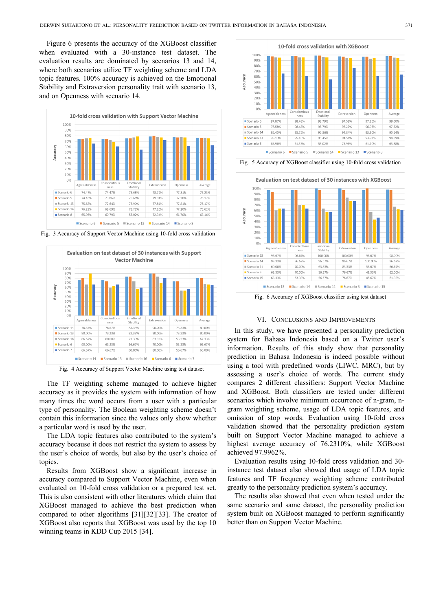Figure 6 presents the accuracy of the XGBoost classifier when evaluated with a 30-instance test dataset. The evaluation results are dominated by scenarios 13 and 14, where both scenarios utilize TF weighting scheme and LDA topic features. 100% accuracy is achieved on the Emotional Stability and Extraversion personality trait with scenario 13, and on Openness with scenario 14.



Fig. 3 Accuracy of Support Vector Machine using 10-fold cross validation



Fig. 4 Accuracy of Support Vector Machine using test dataset

The TF weighting scheme managed to achieve higher accuracy as it provides the system with information of how many times the word occurs from a user with a particular type of personality. The Boolean weighting scheme doesn't contain this information since the values only show whether a particular word is used by the user.

The LDA topic features also contributed to the system's accuracy because it does not restrict the system to assess by the user's choice of words, but also by the user's choice of topics.

Results from XGBoost show a significant increase in accuracy compared to Support Vector Machine, even when evaluated on 10-fold cross validation or a prepared test set. This is also consistent with other literatures which claim that XGBoost managed to achieve the best prediction when compared to other algorithms [31][32][33]. The creator of XGBoost also reports that XGBoost was used by the top 10 winning teams in KDD Cup 2015 [34].



Fig. 5 Accuracy of XGBoost classifier using 10-fold cross validation



Fig. 6 Accuracy of XGBoost classifier using test dataset

## VI. CONCLUSIONS AND IMPROVEMENTS

In this study, we have presented a personality prediction system for Bahasa Indonesia based on a Twitter user's information. Results of this study show that personality prediction in Bahasa Indonesia is indeed possible without using a tool with predefined words (LIWC, MRC), but by assessing a user's choice of words. The current study compares 2 different classifiers: Support Vector Machine and XGBoost. Both classifiers are tested under different scenarios which involve minimum occurrence of n-gram, ngram weighting scheme, usage of LDA topic features, and omission of stop words. Evaluation using 10-fold cross validation showed that the personality prediction system built on Support Vector Machine managed to achieve a highest average accuracy of 76.2310%, while XGBoost achieved 97.9962%.

Evaluation results using 10-fold cross validation and 30 instance test dataset also showed that usage of LDA topic features and TF frequency weighting scheme contributed greatly to the personality prediction system's accuracy.

The results also showed that even when tested under the same scenario and same dataset, the personality prediction system built on XGBoost managed to perform significantly better than on Support Vector Machine.